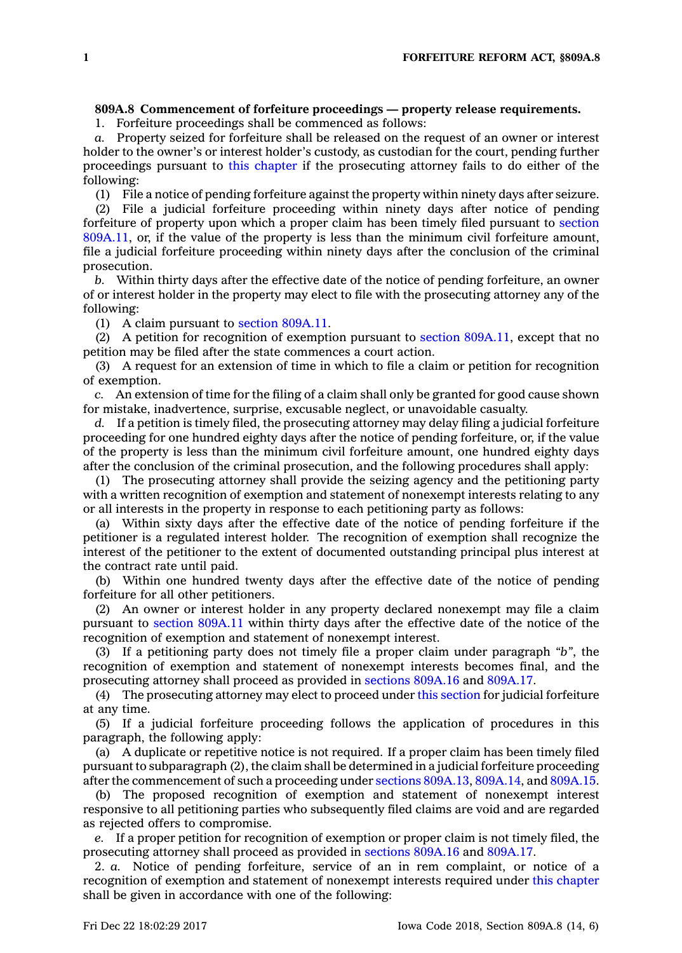## **809A.8 Commencement of forfeiture proceedings — property release requirements.**

1. Forfeiture proceedings shall be commenced as follows:

*a.* Property seized for forfeiture shall be released on the request of an owner or interest holder to the owner's or interest holder's custody, as custodian for the court, pending further proceedings pursuant to this [chapter](https://www.legis.iowa.gov/docs/code//809A.pdf) if the prosecuting attorney fails to do either of the following:

(1) File <sup>a</sup> notice of pending forfeiture against the property within ninety days after seizure.

(2) File <sup>a</sup> judicial forfeiture proceeding within ninety days after notice of pending forfeiture of property upon which <sup>a</sup> proper claim has been timely filed pursuant to [section](https://www.legis.iowa.gov/docs/code/809A.11.pdf) [809A.11](https://www.legis.iowa.gov/docs/code/809A.11.pdf), or, if the value of the property is less than the minimum civil forfeiture amount, file <sup>a</sup> judicial forfeiture proceeding within ninety days after the conclusion of the criminal prosecution.

*b.* Within thirty days after the effective date of the notice of pending forfeiture, an owner of or interest holder in the property may elect to file with the prosecuting attorney any of the following:

(1) A claim pursuant to section [809A.11](https://www.legis.iowa.gov/docs/code/809A.11.pdf).

(2) A petition for recognition of exemption pursuant to section [809A.11](https://www.legis.iowa.gov/docs/code/809A.11.pdf), except that no petition may be filed after the state commences <sup>a</sup> court action.

(3) A request for an extension of time in which to file <sup>a</sup> claim or petition for recognition of exemption.

*c.* An extension of time for the filing of <sup>a</sup> claim shall only be granted for good cause shown for mistake, inadvertence, surprise, excusable neglect, or unavoidable casualty.

*d.* If <sup>a</sup> petition is timely filed, the prosecuting attorney may delay filing <sup>a</sup> judicial forfeiture proceeding for one hundred eighty days after the notice of pending forfeiture, or, if the value of the property is less than the minimum civil forfeiture amount, one hundred eighty days after the conclusion of the criminal prosecution, and the following procedures shall apply:

(1) The prosecuting attorney shall provide the seizing agency and the petitioning party with <sup>a</sup> written recognition of exemption and statement of nonexempt interests relating to any or all interests in the property in response to each petitioning party as follows:

(a) Within sixty days after the effective date of the notice of pending forfeiture if the petitioner is <sup>a</sup> regulated interest holder. The recognition of exemption shall recognize the interest of the petitioner to the extent of documented outstanding principal plus interest at the contract rate until paid.

(b) Within one hundred twenty days after the effective date of the notice of pending forfeiture for all other petitioners.

(2) An owner or interest holder in any property declared nonexempt may file <sup>a</sup> claim pursuant to section [809A.11](https://www.legis.iowa.gov/docs/code/809A.11.pdf) within thirty days after the effective date of the notice of the recognition of exemption and statement of nonexempt interest.

(3) If <sup>a</sup> petitioning party does not timely file <sup>a</sup> proper claim under paragraph *"b"*, the recognition of exemption and statement of nonexempt interests becomes final, and the prosecuting attorney shall proceed as provided in sections [809A.16](https://www.legis.iowa.gov/docs/code/809A.16.pdf) and [809A.17](https://www.legis.iowa.gov/docs/code/809A.17.pdf).

(4) The prosecuting attorney may elect to proceed under this [section](https://www.legis.iowa.gov/docs/code/809A.8.pdf) for judicial forfeiture at any time.

(5) If <sup>a</sup> judicial forfeiture proceeding follows the application of procedures in this paragraph, the following apply:

(a) A duplicate or repetitive notice is not required. If <sup>a</sup> proper claim has been timely filed pursuant to subparagraph (2), the claim shall be determined in <sup>a</sup> judicial forfeiture proceeding after the commencement of such <sup>a</sup> proceeding under sections [809A.13](https://www.legis.iowa.gov/docs/code/809A.13.pdf), [809A.14](https://www.legis.iowa.gov/docs/code/809A.14.pdf), and [809A.15](https://www.legis.iowa.gov/docs/code/809A.15.pdf).

(b) The proposed recognition of exemption and statement of nonexempt interest responsive to all petitioning parties who subsequently filed claims are void and are regarded as rejected offers to compromise.

*e.* If <sup>a</sup> proper petition for recognition of exemption or proper claim is not timely filed, the prosecuting attorney shall proceed as provided in sections [809A.16](https://www.legis.iowa.gov/docs/code/809A.16.pdf) and [809A.17](https://www.legis.iowa.gov/docs/code/809A.17.pdf).

2. *a.* Notice of pending forfeiture, service of an in rem complaint, or notice of <sup>a</sup> recognition of exemption and statement of nonexempt interests required under this [chapter](https://www.legis.iowa.gov/docs/code//809A.pdf) shall be given in accordance with one of the following: